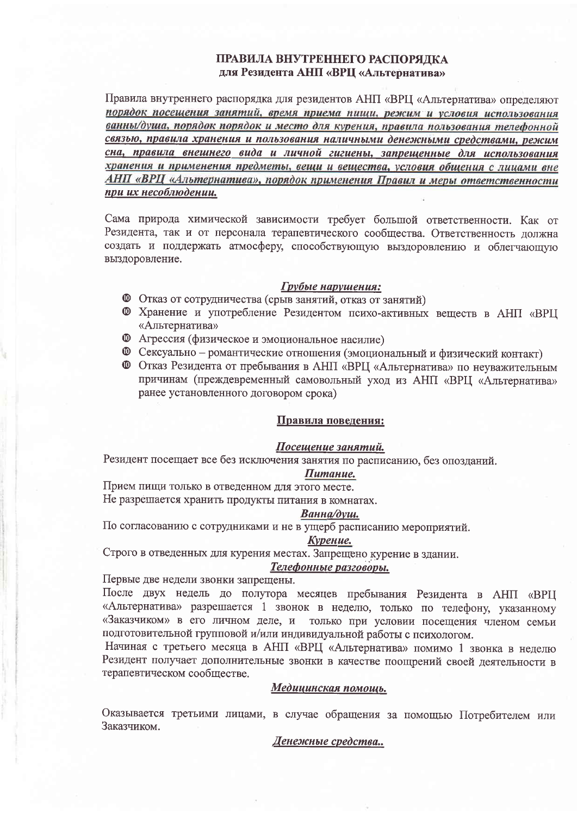# ПРАВИЛА ВНУТРЕННЕГО РАСПОРЯДКА для Резидента АНП «ВРЦ «Альтернатива»

Правила внутреннего распорядка для резидентов АНП «ВРЦ «Альтернатива» определяют порядок посещения занятий, время приема пищи, режим и условия использования ванны/душа, порядок порядок и место для курения, правила пользования телефонной связью, правила хранения и пользования наличными денежными средствами, режим сна, правила внешнего вида и личной гигиены, запрещенные для использования хранения и применения предметы, вещи и вещества, условия общения с лицами вне АНП «ВРЦ «Альтернатива», порядок применения Правил и меры ответственности при их несоблюдении.

Сама природа химической зависимости требует большой ответственности. Как от Резидента, так и от персонала терапевтического сообщества. Ответственность должна создать и поддержать атмосферу, способствующую выздоровлению и облегчающую выздоровление.

### Грубые нарушения:

- Ф Отказ от сотрудничества (срыв занятий, отказ от занятий)
- **©** Хранение и употребление Резидентом психо-активных веществ в АНП «ВРЦ «Альтернатива»
- **<sup>1</sup>** Агрессия (физическое и эмоциональное насилие)
- **<sup>©</sup>** Сексуально романтические отношения (эмоциональный и физический контакт)
- **<sup>©</sup>** Отказ Резидента от пребывания в АНП «ВРЦ «Альтернатива» по неуважительным причинам (преждевременный самовольный уход из АНП «ВРЦ «Альтернатива» ранее установленного договором срока)

#### Правила поведения:

# Посещение занятий.

Резидент посещает все без исключения занятия по расписанию, без опозданий.

# Питание.

Прием пищи только в отведенном для этого месте. Не разрешается хранить продукты питания в комнатах.

#### Ванна/душ.

По согласованию с сотрудниками и не в ущерб расписанию мероприятий.

#### Курение.

Строго в отведенных для курения местах. Запрещено курение в здании.

#### Телефонные разговоры.

Первые две недели звонки запрещены.

После двух недель до полутора месяцев пребывания Резидента в АНП «ВРЦ «Альтернатива» разрешается 1 звонок в неделю, только по телефону, указанному «Заказчиком» в его личном деле, и только при условии посещения членом семьи подготовительной групповой и/или индивидуальной работы с психологом.

Начиная с третьего месяца в АНП «ВРЦ «Альтернатива» помимо 1 звонка в неделю Резидент получает дополнительные звонки в качестве поощрений своей деятельности в терапевтическом сообществе.

#### Медицинская помощь.

Оказывается третьими лицами, в случае обращения за помощью Потребителем или Заказчиком.

#### Денежные средства..